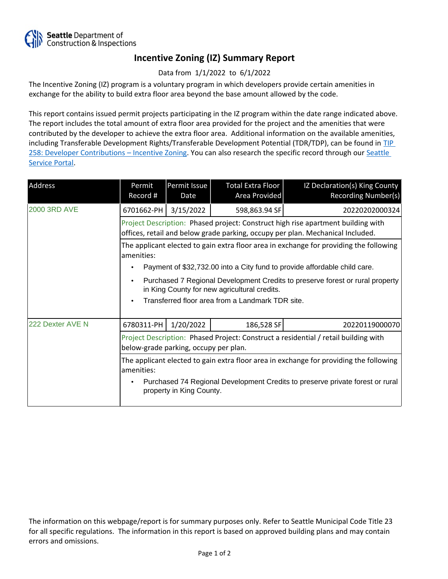

## **Incentive Zoning (IZ) Summary Report**

Data from 1/1/2022 to 6/1/2022

The Incentive Zoning (IZ) program is a voluntary program in which developers provide certain amenities in exchange for the ability to build extra floor area beyond the base amount allowed by the code.

This report contains issued permit projects participating in the IZ program within the date range indicated above. The report includes the total amount of extra floor area provided for the project and the amenities that were contributed by the developer to achieve the extra floor area. Additional information on the available amenities, including Transferable Development Rights/Transferable Development Potential (TDR/TDP), can be found in [TIP](http://www.seattle.gov/DPD/Publications/CAM/Tip258.pdf)  [258: Developer Contributions](http://www.seattle.gov/DPD/Publications/CAM/Tip258.pdf) [–](http://www.seattle.gov/DPD/Publications/CAM/Tip258.pdf) [Incentive Zoning.](http://www.seattle.gov/DPD/Publications/CAM/Tip258.pdf) You can also research the specific record through our Seattle [Service Portal](https://cosaccela.seattle.gov/portal/welcome.aspx).

| Address             | Permit<br>Record #                                                                                                                                                 | Permit Issue<br>Date | Total Extra Floor<br>Area Provided | IZ Declaration(s) King County<br>Recording Number(s) |  |  |
|---------------------|--------------------------------------------------------------------------------------------------------------------------------------------------------------------|----------------------|------------------------------------|------------------------------------------------------|--|--|
| <b>2000 3RD AVE</b> | 6701662-PH                                                                                                                                                         | 3/15/2022            | 598,863.94 SF                      | 20220202000324                                       |  |  |
|                     | Project Description: Phased project: Construct high rise apartment building with<br>offices, retail and below grade parking, occupy per plan. Mechanical Included. |                      |                                    |                                                      |  |  |
|                     | The applicant elected to gain extra floor area in exchange for providing the following<br>amenities:                                                               |                      |                                    |                                                      |  |  |
|                     | Payment of \$32,732.00 into a City fund to provide affordable child care.                                                                                          |                      |                                    |                                                      |  |  |
|                     | Purchased 7 Regional Development Credits to preserve forest or rural property<br>in King County for new agricultural credits.                                      |                      |                                    |                                                      |  |  |
|                     | Transferred floor area from a Landmark TDR site.                                                                                                                   |                      |                                    |                                                      |  |  |
| 222 Dexter AVE N    | 6780311-PH                                                                                                                                                         | 1/20/2022            | 186,528 SF                         | 20220119000070                                       |  |  |
|                     | Project Description: Phased Project: Construct a residential / retail building with<br>below-grade parking, occupy per plan.                                       |                      |                                    |                                                      |  |  |
|                     | The applicant elected to gain extra floor area in exchange for providing the following<br>amenities:                                                               |                      |                                    |                                                      |  |  |
|                     | Purchased 74 Regional Development Credits to preserve private forest or rural<br>property in King County.                                                          |                      |                                    |                                                      |  |  |

The information on this webpage/report is for summary purposes only. Refer to Seattle Municipal Code Title 23 for all specific regulations. The information in this report is based on approved building plans and may contain errors and omissions.